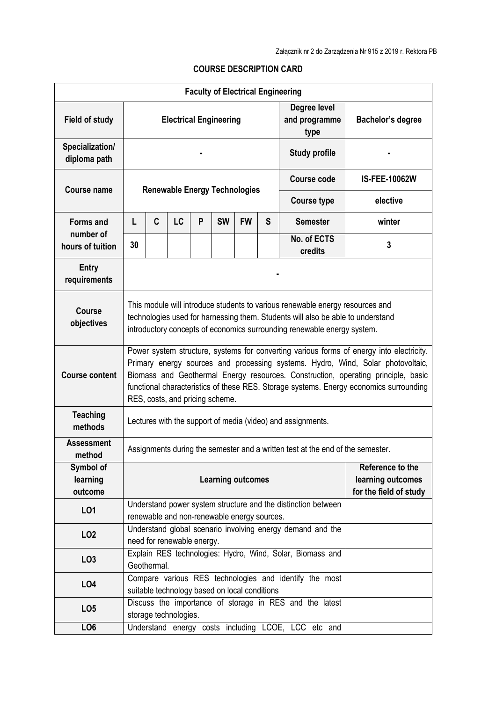## **COURSE DESCRIPTION CARD**

| <b>Faculty of Electrical Engineering</b> |                                                                                                                                                                                                                                                                                                                                                                                               |                                                                                          |    |   |           |           |   |                                                           |                      |  |
|------------------------------------------|-----------------------------------------------------------------------------------------------------------------------------------------------------------------------------------------------------------------------------------------------------------------------------------------------------------------------------------------------------------------------------------------------|------------------------------------------------------------------------------------------|----|---|-----------|-----------|---|-----------------------------------------------------------|----------------------|--|
| <b>Field of study</b>                    | <b>Electrical Engineering</b>                                                                                                                                                                                                                                                                                                                                                                 |                                                                                          |    |   |           |           |   | Degree level<br>and programme<br>type                     | Bachelor's degree    |  |
| Specialization/<br>diploma path          |                                                                                                                                                                                                                                                                                                                                                                                               |                                                                                          |    |   |           |           |   | <b>Study profile</b>                                      |                      |  |
| <b>Course name</b>                       | <b>Renewable Energy Technologies</b>                                                                                                                                                                                                                                                                                                                                                          |                                                                                          |    |   |           |           |   | <b>Course code</b>                                        | <b>IS-FEE-10062W</b> |  |
|                                          |                                                                                                                                                                                                                                                                                                                                                                                               |                                                                                          |    |   |           |           |   | <b>Course type</b>                                        | elective             |  |
| <b>Forms and</b>                         | L                                                                                                                                                                                                                                                                                                                                                                                             | C                                                                                        | LC | P | <b>SW</b> | <b>FW</b> | S | <b>Semester</b>                                           | winter               |  |
| number of<br>hours of tuition            | 30                                                                                                                                                                                                                                                                                                                                                                                            |                                                                                          |    |   |           |           |   | No. of ECTS<br>credits                                    | $\overline{3}$       |  |
| <b>Entry</b><br>requirements             |                                                                                                                                                                                                                                                                                                                                                                                               |                                                                                          |    |   |           |           |   |                                                           |                      |  |
| <b>Course</b><br>objectives              | This module will introduce students to various renewable energy resources and<br>technologies used for harnessing them. Students will also be able to understand<br>introductory concepts of economics surrounding renewable energy system.                                                                                                                                                   |                                                                                          |    |   |           |           |   |                                                           |                      |  |
| <b>Course content</b>                    | Power system structure, systems for converting various forms of energy into electricity.<br>Primary energy sources and processing systems. Hydro, Wind, Solar photovoltaic,<br>Biomass and Geothermal Energy resources. Construction, operating principle, basic<br>functional characteristics of these RES. Storage systems. Energy economics surrounding<br>RES, costs, and pricing scheme. |                                                                                          |    |   |           |           |   |                                                           |                      |  |
| <b>Teaching</b><br>methods               | Lectures with the support of media (video) and assignments.                                                                                                                                                                                                                                                                                                                                   |                                                                                          |    |   |           |           |   |                                                           |                      |  |
| <b>Assessment</b><br>method              | Assignments during the semester and a written test at the end of the semester.                                                                                                                                                                                                                                                                                                                |                                                                                          |    |   |           |           |   |                                                           |                      |  |
| Symbol of<br>learning<br>outcome         | Reference to the<br><b>Learning outcomes</b><br>learning outcomes<br>for the field of study                                                                                                                                                                                                                                                                                                   |                                                                                          |    |   |           |           |   |                                                           |                      |  |
| L01                                      | Understand power system structure and the distinction between<br>renewable and non-renewable energy sources.                                                                                                                                                                                                                                                                                  |                                                                                          |    |   |           |           |   |                                                           |                      |  |
| LO <sub>2</sub>                          |                                                                                                                                                                                                                                                                                                                                                                                               | Understand global scenario involving energy demand and the<br>need for renewable energy. |    |   |           |           |   |                                                           |                      |  |
| LO <sub>3</sub>                          |                                                                                                                                                                                                                                                                                                                                                                                               | Geothermal.                                                                              |    |   |           |           |   | Explain RES technologies: Hydro, Wind, Solar, Biomass and |                      |  |
| LO <sub>4</sub>                          | Compare various RES technologies and identify the most<br>suitable technology based on local conditions                                                                                                                                                                                                                                                                                       |                                                                                          |    |   |           |           |   |                                                           |                      |  |
| LO <sub>5</sub>                          | Discuss the importance of storage in RES and the latest<br>storage technologies.                                                                                                                                                                                                                                                                                                              |                                                                                          |    |   |           |           |   |                                                           |                      |  |
| LO <sub>6</sub>                          |                                                                                                                                                                                                                                                                                                                                                                                               |                                                                                          |    |   |           |           |   | Understand energy costs including LCOE, LCC etc and       |                      |  |